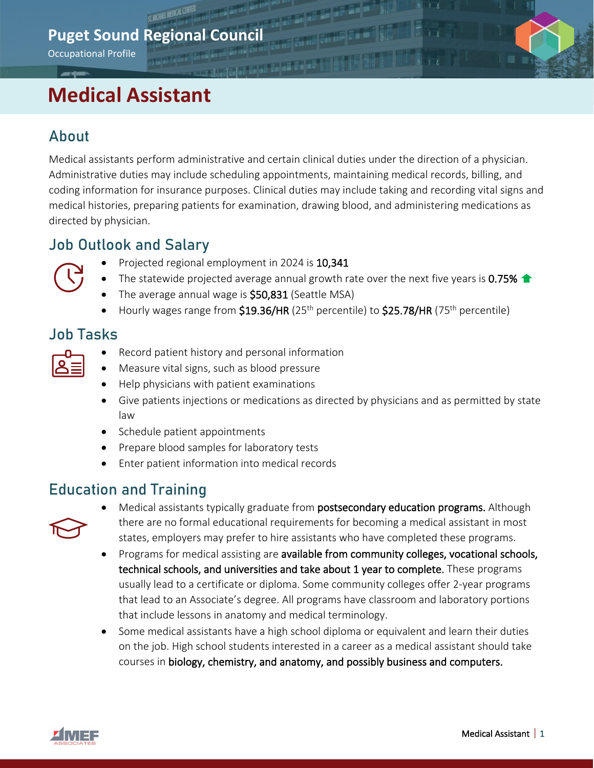# **Puget Sound Regional Council**

Occupational Profile

# **Medical Assistant**

# About

Medical assistants perform administrative and certain clinical duties under the direction of a physician. Administrative duties may include scheduling appointments, maintaining medical records, billing, and coding information for insurance purposes. Clinical duties may include taking and recording vital signs and medical histories, preparing patients for examination, drawing blood, and administering medications as directed by physician.

## Job Outlook and Salary



- Projected regional employment in 2024 is 10,341
- The statewide projected average annual growth rate over the next five years is 0.75%  $\triangle$
- The average annual wage is **\$50,831** (Seattle MSA)
- Hourly wages range from  $$19.36/HR$  (25<sup>th</sup> percentile) to  $$25.78/HR$  (75<sup>th</sup> percentile)

## Job Tasks

- Record patient history and personal information
- Measure vital signs, such as blood pressure
- Help physicians with patient examinations
- Give patients injections or medications as directed by physicians and as permitted by state law
- Schedule patient appointments
- Prepare blood samples for laboratory tests
- Enter patient information into medical records

## Education and Training



- Medical assistants typically graduate from postsecondary education programs. Although there are no formal educational requirements for becoming a medical assistant in most states, employers may prefer to hire assistants who have completed these programs.
- Programs for medical assisting are available from community colleges, vocational schools, technical schools, and universities and take about 1 year to complete. These programs usually lead to a certificate or diploma. Some community colleges offer 2-year programs that lead to an Associate's degree. All programs have classroom and laboratory portions that include lessons in anatomy and medical terminology.
- Some medical assistants have a high school diploma or equivalent and learn their duties on the job. High school students interested in a career as a medical assistant should take courses in biology, chemistry, and anatomy, and possibly business and computers.

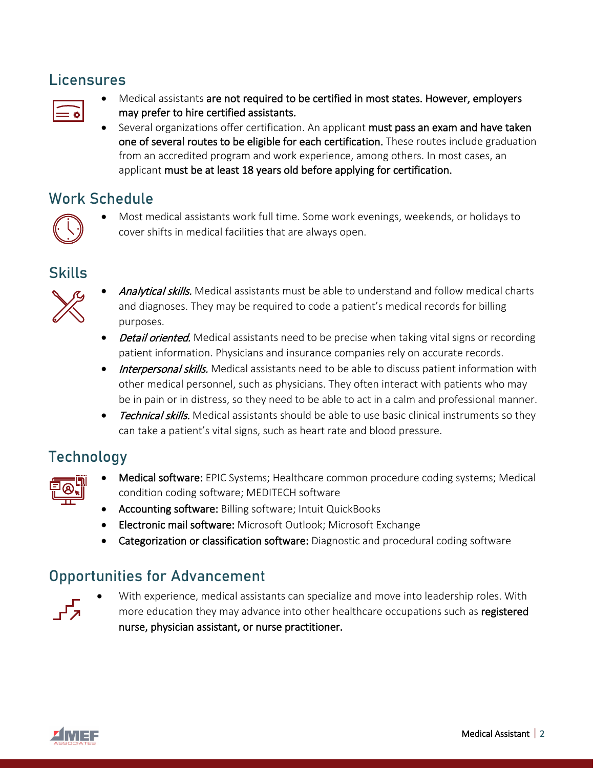## Licensures

| ٧<br>٧ |  |
|--------|--|
|        |  |
|        |  |

- Medical assistants are not required to be certified in most states. However, employers may prefer to hire certified assistants.
- Several organizations offer certification. An applicant must pass an exam and have taken one of several routes to be eligible for each certification. These routes include graduation from an accredited program and work experience, among others. In most cases, an applicant must be at least 18 years old before applying for certification.

#### Work Schedule



• Most medical assistants work full time. Some work evenings, weekends, or holidays to cover shifts in medical facilities that are always open.

#### **Skills**



- Analytical skills. Medical assistants must be able to understand and follow medical charts and diagnoses. They may be required to code a patient's medical records for billing purposes.
- Detail oriented. Medical assistants need to be precise when taking vital signs or recording patient information. Physicians and insurance companies rely on accurate records.
- Interpersonal skills. Medical assistants need to be able to discuss patient information with other medical personnel, such as physicians. They often interact with patients who may be in pain or in distress, so they need to be able to act in a calm and professional manner.
- Technical skills. Medical assistants should be able to use basic clinical instruments so they can take a patient's vital signs, such as heart rate and blood pressure.

# **Technology**



- Medical software: EPIC Systems; Healthcare common procedure coding systems; Medical condition coding software; MEDITECH software
- Accounting software: Billing software; Intuit QuickBooks
- Electronic mail software: Microsoft Outlook; Microsoft Exchange
- Categorization or classification software: Diagnostic and procedural coding software

# Opportunities for Advancement



• With experience, medical assistants can specialize and move into leadership roles. With more education they may advance into other healthcare occupations such as registered nurse, physician assistant, or nurse practitioner.

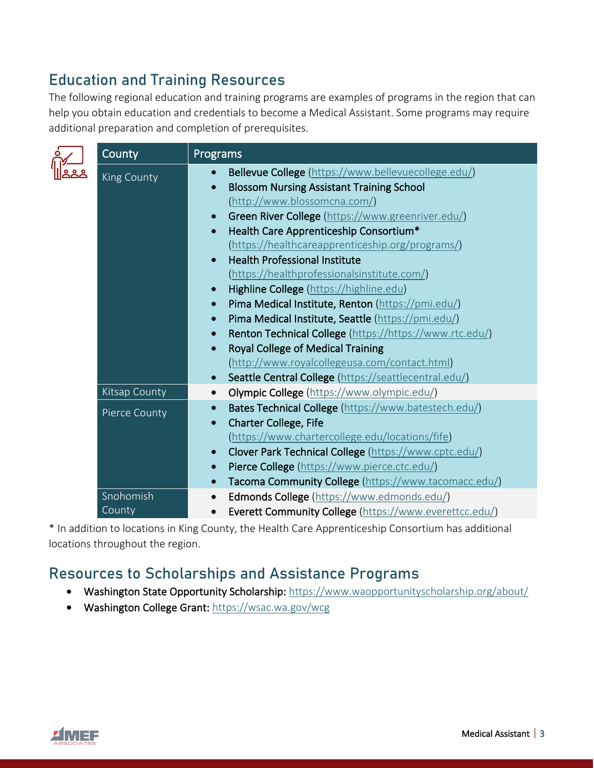# Education and Training Resources

The following regional education and training programs are examples of programs in the region that can help you obtain education and credentials to become a Medical Assistant. Some programs may require additional preparation and completion of prerequisites.

|  | County              | Programs                                                                                                                                                                                                                                                                                                                                                                                                                                                                                                                                                                                                                                                                                                                                  |
|--|---------------------|-------------------------------------------------------------------------------------------------------------------------------------------------------------------------------------------------------------------------------------------------------------------------------------------------------------------------------------------------------------------------------------------------------------------------------------------------------------------------------------------------------------------------------------------------------------------------------------------------------------------------------------------------------------------------------------------------------------------------------------------|
|  | King County         | Bellevue College (https://www.bellevuecollege.edu/)<br><b>Blossom Nursing Assistant Training School</b><br>$\bullet$<br>(http://www.blossomcna.com/)<br>Green River College (https://www.greenriver.edu/)<br>$\bullet$<br>Health Care Apprenticeship Consortium*<br>$\bullet$<br>(https://healthcareapprenticeship.org/programs/)<br><b>Health Professional Institute</b><br>(https://healthprofessionalsinstitute.com/)<br>Highline College (https://highline.edu)<br>Pima Medical Institute, Renton (https://pmi.edu/)<br>$\bullet$<br>Pima Medical Institute, Seattle (https://pmi.edu/)<br>$\bullet$<br>Renton Technical College (https://https://www.rtc.edu/)<br>$\bullet$<br><b>Royal College of Medical Training</b><br>$\bullet$ |
|  |                     | (http://www.royalcollegeusa.com/contact.html)<br>Seattle Central College (https://seattlecentral.edu/)                                                                                                                                                                                                                                                                                                                                                                                                                                                                                                                                                                                                                                    |
|  | Kitsap County       | Olympic College (https://www.olympic.edu/)<br>$\bullet$                                                                                                                                                                                                                                                                                                                                                                                                                                                                                                                                                                                                                                                                                   |
|  | Pierce County       | Bates Technical College (https://www.batestech.edu/)<br>$\bullet$<br><b>Charter College, Fife</b><br>$\bullet$<br>(https://www.chartercollege.edu/locations/fife)<br>Clover Park Technical College (https://www.cptc.edu/)<br>$\bullet$<br>Pierce College (https://www.pierce.ctc.edu/)<br>$\bullet$                                                                                                                                                                                                                                                                                                                                                                                                                                      |
|  |                     | Tacoma Community College (https://www.tacomacc.edu/)<br>$\bullet$                                                                                                                                                                                                                                                                                                                                                                                                                                                                                                                                                                                                                                                                         |
|  | Snohomish<br>County | Edmonds College (https://www.edmonds.edu/)<br>$\bullet$<br>Everett Community College (https://www.everettcc.edu/)                                                                                                                                                                                                                                                                                                                                                                                                                                                                                                                                                                                                                         |

\* In addition to locations in King County, the Health Care Apprenticeship Consortium has additional locations throughout the region.

#### Resources to Scholarships and Assistance Programs

- Washington State Opportunity Scholarship:<https://www.waopportunityscholarship.org/about/>
- Washington College Grant:<https://wsac.wa.gov/wcg>